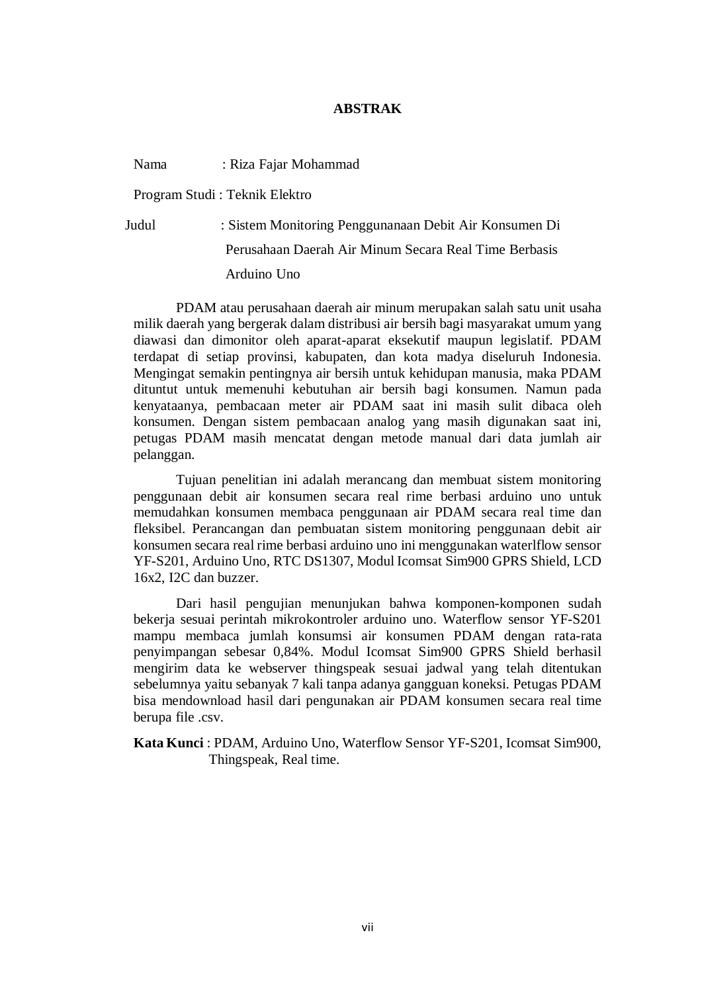## **ABSTRAK**

Nama : Riza Fajar Mohammad

Program Studi : Teknik Elektro

Judul : Sistem Monitoring Penggunanaan Debit Air Konsumen Di Perusahaan Daerah Air Minum Secara Real Time Berbasis Arduino Uno

PDAM atau perusahaan daerah air minum merupakan salah satu unit usaha milik daerah yang bergerak dalam distribusi air bersih bagi masyarakat umum yang diawasi dan dimonitor oleh aparat-aparat eksekutif maupun legislatif. PDAM terdapat di setiap provinsi, kabupaten, dan kota madya diseluruh Indonesia. Mengingat semakin pentingnya air bersih untuk kehidupan manusia, maka PDAM dituntut untuk memenuhi kebutuhan air bersih bagi konsumen. Namun pada kenyataanya, pembacaan meter air PDAM saat ini masih sulit dibaca oleh konsumen. Dengan sistem pembacaan analog yang masih digunakan saat ini, petugas PDAM masih mencatat dengan metode manual dari data jumlah air pelanggan.

Tujuan penelitian ini adalah merancang dan membuat sistem monitoring penggunaan debit air konsumen secara real rime berbasi arduino uno untuk memudahkan konsumen membaca penggunaan air PDAM secara real time dan fleksibel. Perancangan dan pembuatan sistem monitoring penggunaan debit air konsumen secara real rime berbasi arduino uno ini menggunakan waterlflow sensor YF-S201, Arduino Uno, RTC DS1307, Modul Icomsat Sim900 GPRS Shield, LCD 16x2, I2C dan buzzer.

Dari hasil pengujian menunjukan bahwa komponen-komponen sudah bekerja sesuai perintah mikrokontroler arduino uno. Waterflow sensor YF-S201 mampu membaca jumlah konsumsi air konsumen PDAM dengan rata-rata penyimpangan sebesar 0,84%. Modul Icomsat Sim900 GPRS Shield berhasil mengirim data ke webserver thingspeak sesuai jadwal yang telah ditentukan sebelumnya yaitu sebanyak 7 kali tanpa adanya gangguan koneksi. Petugas PDAM bisa mendownload hasil dari pengunakan air PDAM konsumen secara real time berupa file .csv.

**Kata Kunci** : PDAM, Arduino Uno, Waterflow Sensor YF-S201, Icomsat Sim900, Thingspeak, Real time.